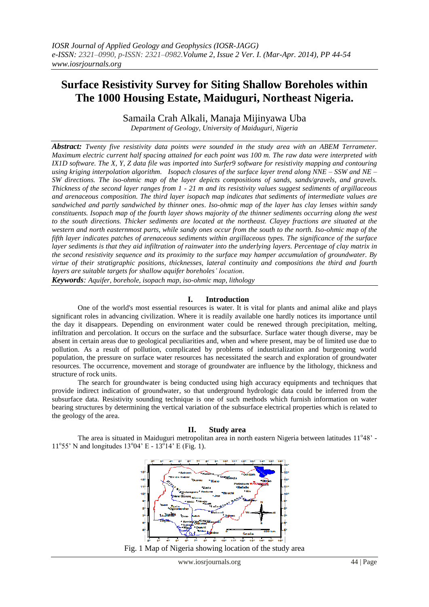# **Surface Resistivity Survey for Siting Shallow Boreholes within The 1000 Housing Estate, Maiduguri, Northeast Nigeria.**

Samaila Crah Alkali, Manaja Mijinyawa Uba

*Department of Geology, University of Maiduguri, Nigeria*

*Abstract: Twenty five resistivity data points were sounded in the study area with an ABEM Terrameter. Maximum electric current half spacing attained for each point was 100 m. The raw data were interpreted with IX1D software. The X, Y, Z data file was imported into Surfer9 software for resistivity mapping and contouring using kriging interpolation algorithm. Isopach closures of the surface layer trend along NNE – SSW and NE – SW directions. The iso-ohmic map of the layer depicts compositions of sands, sands/gravels, and gravels. Thickness of the second layer ranges from 1 - 21 m and its resistivity values suggest sediments of argillaceous and arenaceous composition. The third layer isopach map indicates that sediments of intermediate values are sandwiched and partly sandwiched by thinner ones. Iso-ohmic map of the layer has clay lenses within sandy constituents. Isopach map of the fourth layer shows majority of the thinner sediments occurring along the west to the south directions. Thicker sediments are located at the northeast. Clayey fractions are situated at the western and north easternmost parts, while sandy ones occur from the south to the north. Iso-ohmic map of the fifth layer indicates patches of arenaceous sediments within argillaceous types. The significance of the surface layer sediments is that they aid infiltration of rainwater into the underlying layers. Percentage of clay matrix in the second resistivity sequence and its proximity to the surface may hamper accumulation of groundwater. By virtue of their stratigraphic positions, thicknesses, lateral continuity and compositions the third and fourth layers are suitable targets for shallow aquifer boreholes' location.*

*Keywords: Aquifer, borehole, isopach map, iso-ohmic map, lithology*

## **I. Introduction**

One of the world's most essential resources is water. It is vital for plants and animal alike and plays significant roles in advancing civilization. Where it is readily available one hardly notices its importance until the day it disappears. Depending on environment water could be renewed through precipitation, melting, infiltration and percolation. It occurs on the surface and the subsurface. Surface water though diverse, may be absent in certain areas due to geological peculiarities and, when and where present, may be of limited use due to pollution. As a result of pollution, complicated by problems of industrialization and burgeoning world population, the pressure on surface water resources has necessitated the search and exploration of groundwater resources. The occurrence, movement and storage of groundwater are influence by the lithology, thickness and structure of rock units.

The search for groundwater is being conducted using high accuracy equipments and techniques that provide indirect indication of groundwater, so that underground hydrologic data could be inferred from the subsurface data. Resistivity sounding technique is one of such methods which furnish information on water bearing structures by determining the vertical variation of the subsurface electrical properties which is related to the geology of the area.

## **II. Study area**

The area is situated in Maiduguri metropolitan area in north eastern Nigeria between latitudes 11°48' -11°55' N and longitudes  $13°04'$  E -  $13°14'$  E (Fig. 1).



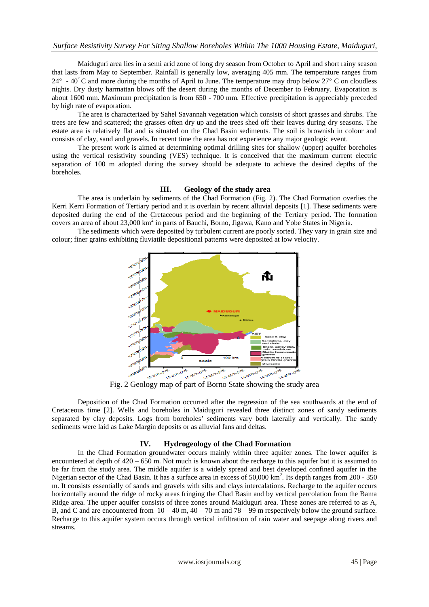Maiduguri area lies in a semi arid zone of long dry season from October to April and short rainy season that lasts from May to September. Rainfall is generally low, averaging 405 mm. The temperature ranges from  $24^{\circ}$  -  $40^{\circ}$ C and more during the months of April to June. The temperature may drop below  $27^{\circ}$ C on cloudless nights. Dry dusty harmattan blows off the desert during the months of December to February. Evaporation is about 1600 mm. Maximum precipitation is from 650 - 700 mm. Effective precipitation is appreciably preceded by high rate of evaporation.

The area is characterized by Sahel Savannah vegetation which consists of short grasses and shrubs. The trees are few and scattered; the grasses often dry up and the trees shed off their leaves during dry seasons. The estate area is relatively flat and is situated on the Chad Basin sediments. The soil is brownish in colour and consists of clay, sand and gravels. In recent time the area has not experience any major geologic event.

The present work is aimed at determining optimal drilling sites for shallow (upper) aquifer boreholes using the vertical resistivity sounding (VES) technique. It is conceived that the maximum current electric separation of 100 m adopted during the survey should be adequate to achieve the desired depths of the boreholes.

## **III. Geology of the study area**

The area is underlain by sediments of the Chad Formation (Fig. 2). The Chad Formation overlies the Kerri Kerri Formation of Tertiary period and it is overlain by recent alluvial deposits [1]. These sediments were deposited during the end of the Cretaceous period and the beginning of the Tertiary period. The formation covers an area of about 23,000 km<sup>2</sup> in parts of Bauchi, Borno, Jigawa, Kano and Yobe States in Nigeria.

The sediments which were deposited by turbulent current are poorly sorted. They vary in grain size and colour; finer grains exhibiting fluviatile depositional patterns were deposited at low velocity.



Deposition of the Chad Formation occurred after the regression of the sea southwards at the end of Cretaceous time [2]. Wells and boreholes in Maiduguri revealed three distinct zones of sandy sediments separated by clay deposits. Logs from boreholes' sediments vary both laterally and vertically. The sandy sediments were laid as Lake Margin deposits or as alluvial fans and deltas.

## **IV. Hydrogeology of the Chad Formation**

In the Chad Formation groundwater occurs mainly within three aquifer zones. The lower aquifer is encountered at depth of 420 – 650 m. Not much is known about the recharge to this aquifer but it is assumed to be far from the study area. The middle aquifer is a widely spread and best developed confined aquifer in the Nigerian sector of the Chad Basin. It has a surface area in excess of 50,000 km<sup>2</sup>. Its depth ranges from 200 - 350 m. It consists essentially of sands and gravels with silts and clays intercalations. Recharge to the aquifer occurs horizontally around the ridge of rocky areas fringing the Chad Basin and by vertical percolation from the Bama Ridge area. The upper aquifer consists of three zones around Maiduguri area. These zones are referred to as A, B, and C and are encountered from  $10 - 40$  m,  $40 - 70$  m and  $78 - 99$  m respectively below the ground surface. Recharge to this aquifer system occurs through vertical infiltration of rain water and seepage along rivers and streams.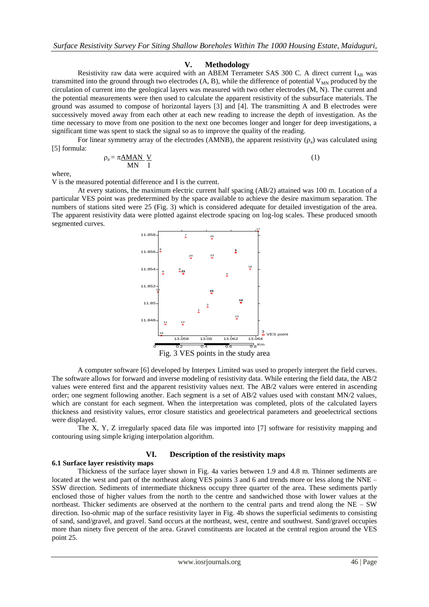## **V. Methodology**

Resistivity raw data were acquired with an ABEM Terrameter SAS 300 C. A direct current I<sub>AB</sub> was transmitted into the ground through two electrodes  $(A, B)$ , while the difference of potential  $V_{MN}$  produced by the circulation of current into the geological layers was measured with two other electrodes (M, N). The current and the potential measurements were then used to calculate the apparent resistivity of the subsurface materials. The ground was assumed to compose of horizontal layers [3] and [4]. The transmitting A and B electrodes were successively moved away from each other at each new reading to increase the depth of investigation. As the time necessary to move from one position to the next one becomes longer and longer for deep investigations, a significant time was spent to stack the signal so as to improve the quality of the reading.

For linear symmetry array of the electrodes (AMNB), the apparent resistivity  $(\rho_a)$  was calculated using [5] formula:

$$
\rho_a = \pi \frac{\text{AMAN}}{\text{MN}} \frac{\text{V}}{\text{I}} \tag{1}
$$

where,

V is the measured potential difference and I is the current.

At every stations, the maximum electric current half spacing (AB/2) attained was 100 m. Location of a particular VES point was predetermined by the space available to achieve the desire maximum separation. The numbers of stations sited were 25 (Fig. 3) which is considered adequate for detailed investigation of the area. The apparent resistivity data were plotted against electrode spacing on log-log scales. These produced smooth segmented curves.



A computer software [6] developed by Interpex Limited was used to properly interpret the field curves. The software allows for forward and inverse modeling of resistivity data. While entering the field data, the AB/2 values were entered first and the apparent resistivity values next. The AB/2 values were entered in ascending order; one segment following another. Each segment is a set of AB/2 values used with constant MN/2 values, which are constant for each segment. When the interpretation was completed, plots of the calculated layers thickness and resistivity values, error closure statistics and geoelectrical parameters and geoelectrical sections were displayed.

The X, Y, Z irregularly spaced data file was imported into [7] software for resistivity mapping and contouring using simple kriging interpolation algorithm.

## **VI. Description of the resistivity maps**

#### **6.1 Surface layer resistivity maps**

Thickness of the surface layer shown in Fig. 4a varies between 1.9 and 4.8 m. Thinner sediments are located at the west and part of the northeast along VES points 3 and 6 and trends more or less along the NNE – SSW direction. Sediments of intermediate thickness occupy three quarter of the area. These sediments partly enclosed those of higher values from the north to the centre and sandwiched those with lower values at the northeast. Thicker sediments are observed at the northern to the central parts and trend along the NE – SW direction. Iso-ohmic map of the surface resistivity layer in Fig. 4b shows the superficial sediments to consisting of sand, sand/gravel, and gravel. Sand occurs at the northeast, west, centre and southwest. Sand/gravel occupies more than ninety five percent of the area. Gravel constituents are located at the central region around the VES point 25.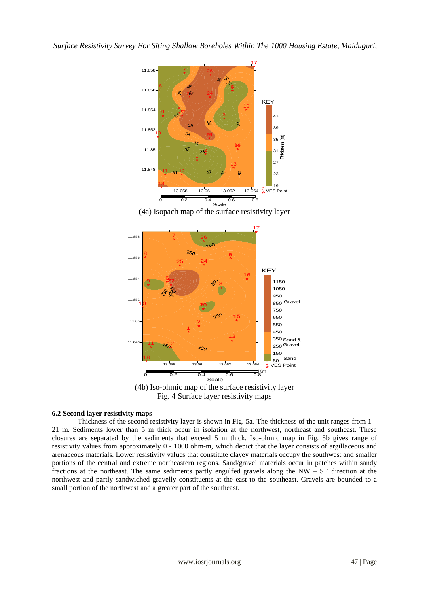

(4a) Isopach map of the surface resistivity layer



Fig. 4 Surface layer resistivity maps

## **6.2 Second layer resistivity maps**

Thickness of the second resistivity layer is shown in Fig. 5a. The thickness of the unit ranges from 1 – 21 m. Sediments lower than 5 m thick occur in isolation at the northwest, northeast and southeast. These closures are separated by the sediments that exceed 5 m thick. Iso-ohmic map in Fig. 5b gives range of resistivity values from approximately 0 - 1000 ohm-m, which depict that the layer consists of argillaceous and arenaceous materials. Lower resistivity values that constitute clayey materials occupy the southwest and smaller portions of the central and extreme northeastern regions. Sand/gravel materials occur in patches within sandy fractions at the northeast. The same sediments partly engulfed gravels along the NW – SE direction at the northwest and partly sandwiched gravelly constituents at the east to the southeast. Gravels are bounded to a small portion of the northwest and a greater part of the southeast.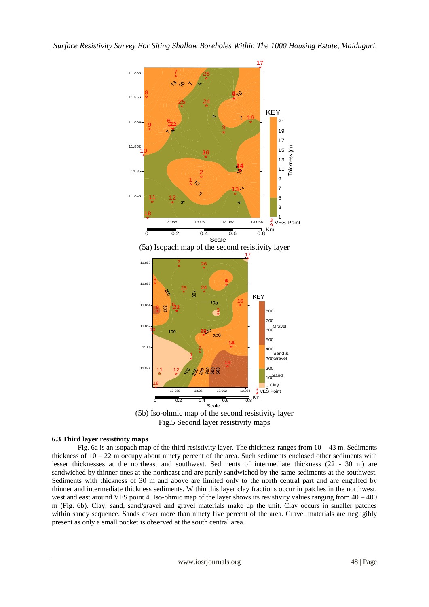



## **6.3 Third layer resistivity maps**

Fig. 6a is an isopach map of the third resistivity layer. The thickness ranges from  $10 - 43$  m. Sediments thickness of  $10 - 22$  m occupy about ninety percent of the area. Such sediments enclosed other sediments with lesser thicknesses at the northeast and southwest. Sediments of intermediate thickness (22 - 30 m) are sandwiched by thinner ones at the northeast and are partly sandwiched by the same sediments at the southwest. Sediments with thickness of 30 m and above are limited only to the north central part and are engulfed by thinner and intermediate thickness sediments. Within this layer clay fractions occur in patches in the northwest, west and east around VES point 4. Iso-ohmic map of the layer shows its resistivity values ranging from  $40 - 400$ m (Fig. 6b). Clay, sand, sand/gravel and gravel materials make up the unit. Clay occurs in smaller patches within sandy sequence. Sands cover more than ninety five percent of the area. Gravel materials are negligibly present as only a small pocket is observed at the south central area.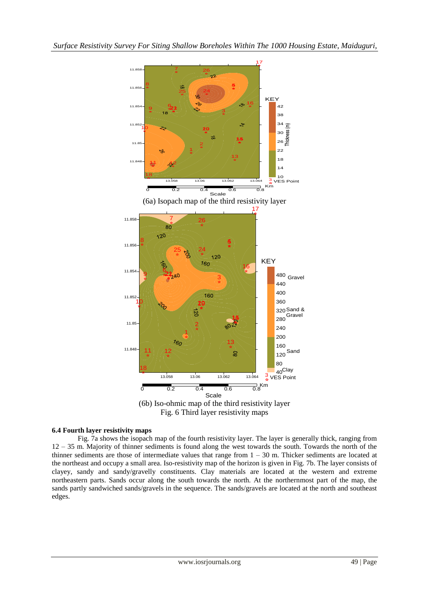

Fig. 6 Third layer resistivity maps

## **6.4 Fourth layer resistivity maps**

Fig. 7a shows the isopach map of the fourth resistivity layer. The layer is generally thick, ranging from 12 – 35 m. Majority of thinner sediments is found along the west towards the south. Towards the north of the thinner sediments are those of intermediate values that range from 1 – 30 m. Thicker sediments are located at the northeast and occupy a small area. Iso-resistivity map of the horizon is given in Fig. 7b. The layer consists of clayey, sandy and sandy/gravelly constituents. Clay materials are located at the western and extreme northeastern parts. Sands occur along the south towards the north. At the northernmost part of the map, the sands partly sandwiched sands/gravels in the sequence. The sands/gravels are located at the north and southeast edges.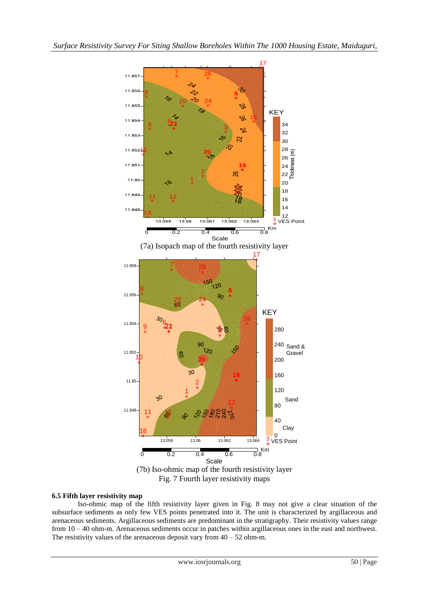

#### **6.5 Fifth layer resistivity map**

Iso-ohmic map of the fifth resistivity layer given in Fig. 8 may not give a clear situation of the subsurface sediments as only few VES points penetrated into it. The unit is characterized by argillaceous and arenaceous sediments. Argillaceous sediments are predominant in the stratigraphy. Their resistivity values range from 10 – 40 ohm-m. Arenaceous sediments occur in patches within argillaceous ones in the east and northwest. The resistivity values of the arenaceous deposit vary from  $40 - 52$  ohm-m.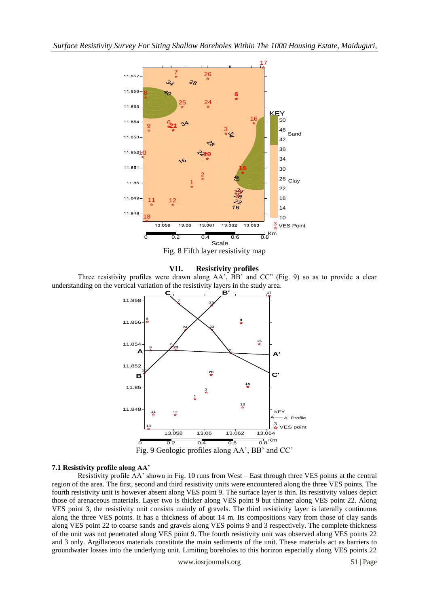

Fig. 8 Fifth layer resistivity map

## **VII. Resistivity profiles**

Three resistivity profiles were drawn along AA', BB' and CC" (Fig. 9) so as to provide a clear understanding on the vertical variation of the resistivity layers in the study area.



## **7.1 Resistivity profile along AA'**

Resistivity profile AA' shown in Fig. 10 runs from West – East through three VES points at the central region of the area. The first, second and third resistivity units were encountered along the three VES points. The fourth resistivity unit is however absent along VES point 9. The surface layer is thin. Its resistivity values depict those of arenaceous materials. Layer two is thicker along VES point 9 but thinner along VES point 22. Along VES point 3, the resistivity unit consists mainly of gravels. The third resistivity layer is laterally continuous along the three VES points. It has a thickness of about 14 m. Its compositions vary from those of clay sands along VES point 22 to coarse sands and gravels along VES points 9 and 3 respectively. The complete thickness of the unit was not penetrated along VES point 9. The fourth resistivity unit was observed along VES points 22 and 3 only. Argillaceous materials constitute the main sediments of the unit. These materials act as barriers to groundwater losses into the underlying unit. Limiting boreholes to this horizon especially along VES points 22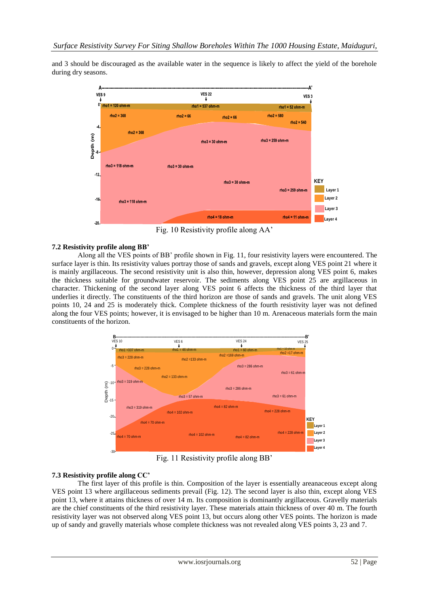and 3 should be discouraged as the available water in the sequence is likely to affect the yield of the borehole during dry seasons.



Fig. 10 Resistivity profile along AA'

## **7.2 Resistivity profile along BB'**

Along all the VES points of BB' profile shown in Fig. 11, four resistivity layers were encountered. The surface layer is thin. Its resistivity values portray those of sands and gravels, except along VES point 21 where it is mainly argillaceous. The second resistivity unit is also thin, however, depression along VES point 6, makes the thickness suitable for groundwater reservoir. The sediments along VES point 25 are argillaceous in character. Thickening of the second layer along VES point 6 affects the thickness of the third layer that underlies it directly. The constituents of the third horizon are those of sands and gravels. The unit along VES points 10, 24 and 25 is moderately thick. Complete thickness of the fourth resistivity layer was not defined along the four VES points; however, it is envisaged to be higher than 10 m. Arenaceous materials form the main constituents of the horizon.



Fig. 11 Resistivity profile along BB'

## **7.3 Resistivity profile along CC'**

The first layer of this profile is thin. Composition of the layer is essentially areanaceous except along VES point 13 where argillaceous sediments prevail (Fig. 12). The second layer is also thin, except along VES point 13, where it attains thickness of over 14 m. Its composition is dominantly argillaceous. Gravelly materials are the chief constituents of the third resistivity layer. These materials attain thickness of over 40 m. The fourth resistivity layer was not observed along VES point 13, but occurs along other VES points. The horizon is made up of sandy and gravelly materials whose complete thickness was not revealed along VES points 3, 23 and 7.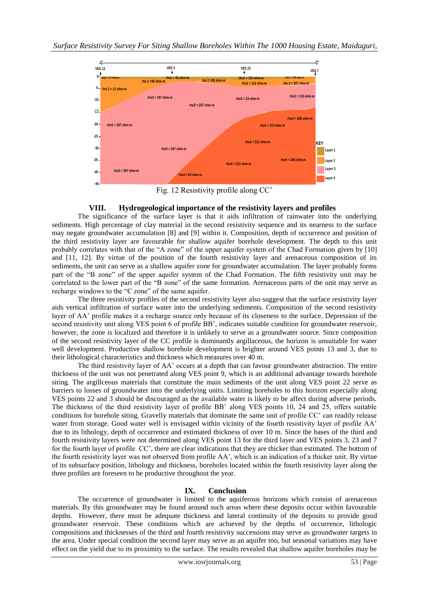

Fig. 12 Resistivity profile along CC'

# **VIII. Hydrogeological importance of the resistivity layers and profiles**

The significance of the surface layer is that it aids infiltration of rainwater into the underlying sediments. High percentage of clay material in the second resistivity sequence and its nearness to the surface may negate groundwater accumulation [8] and [9] within it. Composition, depth of occurrence and position of the third resistivity layer are favourable for shallow aquifer borehole development. The depth to this unit probably correlates with that of the "A zone" of the upper aquifer system of the Chad Formation given by [10] and [11, 12]. By virtue of the position of the fourth resistivity layer and arenaceous composition of its sediments, the unit can serve as a shallow aquifer zone for groundwater accumulation. The layer probably forms part of the "B zone" of the upper aquifer system of the Chad Formation. The fifth resistivity unit may be correlated to the lower part of the "B zone" of the same formation. Arenaceous parts of the unit may serve as recharge windows to the "C zone" of the same aquifer.

The three resistivity profiles of the second resistivity layer also suggest that the surface resistivity layer aids vertical infiltration of surface water into the underlying sediments. Composition of the second resistivity layer of AA' profile makes it a recharge source only because of its closeness to the surface. Depression of the second resistivity unit along VES point 6 of profile BB', indicates suitable condition for groundwater reservoir, however, the zone is localized and therefore it is unlikely to serve as a groundwater source. Since composition of the second resistivity layer of the CC profile is dominantly argillaceous, the horizon is unsuitable for water well development. Productive shallow borehole development is brighter around VES points 13 and 3, due to their lithological characteristics and thickness which measures over 40 m.

The third resistivity layer of AA' occurs at a depth that can favour groundwater abstraction. The entire thickness of the unit was not penetrated along VES point 9, which is an additional advantage towards borehole siting. The argillceous materials that constitute the main sediments of the unit along VES point 22 serve as barriers to losses of groundwater into the underlying units. Limiting boreholes to this horizon especially along VES points 22 and 3 should be discouraged as the available water is likely to be affect during adverse periods. The thickness of the third resistivity layer of profile BB' along VES points 10, 24 and 25, offers suitable conditions for borehole siting. Gravelly materials that dominate the same unit of profile CC' can readily release water from storage. Good water well is envisaged within vicinity of the fourth resistivity layer of profile AA' due to its lithology, depth of occurrence and estimated thickness of over 10 m. Since the bases of the third and fourth resistivity layers were not determined along VES point 13 for the third layer and VES points 3, 23 and 7 for the fourth layer of profile CC', there are clear indications that they are thicker than estimated. The bottom of the fourth resistivity layer was not observed from profile AA', which is an indication of a thicker unit. By virtue of its subsurface position, lithology and thickness, boreholes located within the fourth resistivity layer along the three profiles are foreseen to be productive throughout the year.

# **IX. Conclusion**

The occurrence of groundwater is limited to the aquiferous horizons which consist of arenaceous materials. By this groundwater may be found around such areas where these deposits occur within favourable depths. However, there must be adequate thickness and lateral continuity of the deposits to provide good groundwater reservoir. These conditions which are achieved by the depths of occurrence, lithologic compositions and thicknesses of the third and fourth resistivity successions may serve as groundwater targets in the area. Under special condition the second layer may serve as an aquifer too, but seasonal variations may have effect on the yield due to its proximity to the surface. The results revealed that shallow aquifer boreholes may be